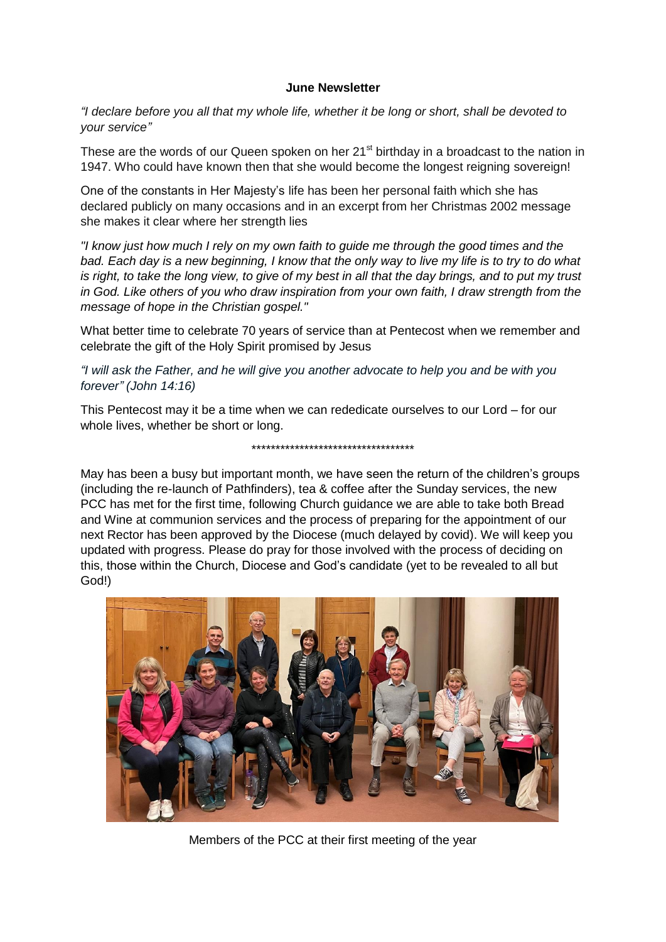## **June Newsletter**

*"I declare before you all that my whole life, whether it be long or short, shall be devoted to your service"*

These are the words of our Queen spoken on her  $21^{st}$  birthday in a broadcast to the nation in 1947. Who could have known then that she would become the longest reigning sovereign!

One of the constants in Her Majesty's life has been her personal faith which she has declared publicly on many occasions and in an excerpt from her Christmas 2002 message she makes it clear where her strength lies

*"I know just how much I rely on my own faith to guide me through the good times and the bad. Each day is a new beginning, I know that the only way to live my life is to try to do what is right, to take the long view, to give of my best in all that the day brings, and to put my trust in God. Like others of you who draw inspiration from your own faith, I draw strength from the message of hope in the Christian gospel."*

What better time to celebrate 70 years of service than at Pentecost when we remember and celebrate the gift of the Holy Spirit promised by Jesus

*"I will ask the Father, and he will give you another advocate to help you and be with you forever" (John 14:16)*

This Pentecost may it be a time when we can rededicate ourselves to our Lord – for our whole lives, whether be short or long.

## \*\*\*\*\*\*\*\*\*\*\*\*\*\*\*\*\*\*\*\*\*\*\*\*\*\*\*\*\*\*\*\*\*\*

May has been a busy but important month, we have seen the return of the children's groups (including the re-launch of Pathfinders), tea & coffee after the Sunday services, the new PCC has met for the first time, following Church guidance we are able to take both Bread and Wine at communion services and the process of preparing for the appointment of our next Rector has been approved by the Diocese (much delayed by covid). We will keep you updated with progress. Please do pray for those involved with the process of deciding on this, those within the Church, Diocese and God's candidate (yet to be revealed to all but God!)



Members of the PCC at their first meeting of the year